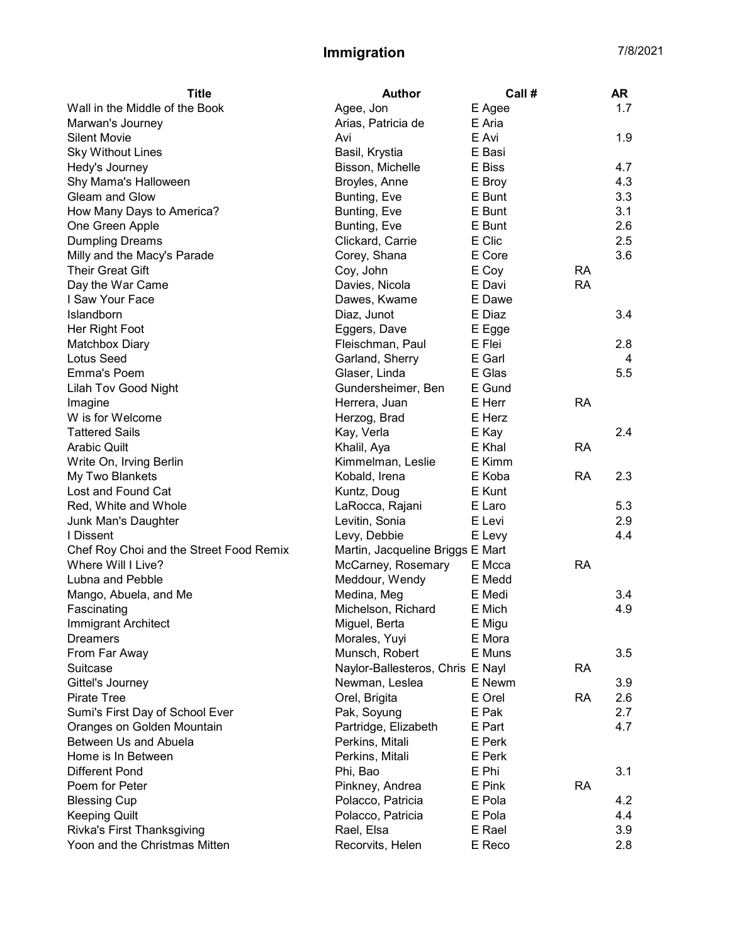| <b>Title</b>                            | <b>Author</b>                    | Call # |           | <b>AR</b> |
|-----------------------------------------|----------------------------------|--------|-----------|-----------|
| Wall in the Middle of the Book          | Agee, Jon                        | E Agee |           | 1.7       |
| Marwan's Journey                        | Arias, Patricia de               | E Aria |           |           |
| <b>Silent Movie</b>                     | Avi                              | E Avi  |           | 1.9       |
| <b>Sky Without Lines</b>                | Basil, Krystia                   | E Basi |           |           |
| Hedy's Journey                          | Bisson, Michelle                 | E Biss |           | 4.7       |
| Shy Mama's Halloween                    | Broyles, Anne                    | E Broy |           | 4.3       |
| Gleam and Glow                          | Bunting, Eve                     | E Bunt |           | 3.3       |
| How Many Days to America?               | Bunting, Eve                     | E Bunt |           | 3.1       |
| One Green Apple                         | Bunting, Eve                     | E Bunt |           | 2.6       |
| <b>Dumpling Dreams</b>                  | Clickard, Carrie                 | E Clic |           | 2.5       |
| Milly and the Macy's Parade             | Corey, Shana                     | E Core |           | 3.6       |
| <b>Their Great Gift</b>                 | Coy, John                        | E Coy  | <b>RA</b> |           |
| Day the War Came                        | Davies, Nicola                   | E Davi | <b>RA</b> |           |
| I Saw Your Face                         | Dawes, Kwame                     | E Dawe |           |           |
| Islandborn                              | Diaz, Junot                      | E Diaz |           | 3.4       |
| Her Right Foot                          | Eggers, Dave                     | E Egge |           |           |
| Matchbox Diary                          | Fleischman, Paul                 | E Flei |           | 2.8       |
| <b>Lotus Seed</b>                       | Garland, Sherry                  | E Garl |           | 4         |
| Emma's Poem                             | Glaser, Linda                    | E Glas |           | 5.5       |
| <b>Lilah Tov Good Night</b>             | Gundersheimer, Ben               | E Gund |           |           |
| Imagine                                 | Herrera, Juan                    | E Herr | <b>RA</b> |           |
| W is for Welcome                        | Herzog, Brad                     | E Herz |           |           |
| <b>Tattered Sails</b>                   | Kay, Verla                       | E Kay  |           | 2.4       |
| <b>Arabic Quilt</b>                     | Khalil, Aya                      | E Khal | <b>RA</b> |           |
| Write On, Irving Berlin                 | Kimmelman, Leslie                | E Kimm |           |           |
| My Two Blankets                         | Kobald, Irena                    | E Koba | <b>RA</b> | 2.3       |
| Lost and Found Cat                      | Kuntz, Doug                      | E Kunt |           |           |
| Red, White and Whole                    | LaRocca, Rajani                  | E Laro |           | 5.3       |
| Junk Man's Daughter                     | Levitin, Sonia                   | E Levi |           | 2.9       |
| I Dissent                               | Levy, Debbie                     | E Levy |           | 4.4       |
| Chef Roy Choi and the Street Food Remix | Martin, Jacqueline Briggs E Mart |        |           |           |
| Where Will I Live?                      | McCarney, Rosemary               | E Mcca | <b>RA</b> |           |
| Lubna and Pebble                        | Meddour, Wendy                   | E Medd |           |           |
| Mango, Abuela, and Me                   | Medina, Meg                      | E Medi |           | 3.4       |
| Fascinating                             | Michelson, Richard               | E Mich |           | 4.9       |
| Immigrant Architect                     | Miguel, Berta                    | E Migu |           |           |
| <b>Dreamers</b>                         | Morales, Yuyi                    | E Mora |           |           |
| From Far Away                           | Munsch, Robert                   | E Muns |           | 3.5       |
| Suitcase                                | Naylor-Ballesteros, Chris E Nayl |        | RA        |           |
| Gittel's Journey                        | Newman, Leslea                   | E Newm |           | 3.9       |
| <b>Pirate Tree</b>                      | Orel, Brigita                    | E Orel | <b>RA</b> | 2.6       |
| Sumi's First Day of School Ever         | Pak, Soyung                      | E Pak  |           | 2.7       |
| Oranges on Golden Mountain              | Partridge, Elizabeth             | E Part |           | 4.7       |
| Between Us and Abuela                   | Perkins, Mitali                  | E Perk |           |           |
| Home is In Between                      | Perkins, Mitali                  | E Perk |           |           |
| <b>Different Pond</b>                   | Phi, Bao                         | E Phi  |           | 3.1       |
| Poem for Peter                          | Pinkney, Andrea                  | E Pink | <b>RA</b> |           |
| <b>Blessing Cup</b>                     | Polacco, Patricia                | E Pola |           | 4.2       |
| <b>Keeping Quilt</b>                    | Polacco, Patricia                | E Pola |           | 4.4       |
| Rivka's First Thanksgiving              | Rael, Elsa                       | E Rael |           | 3.9       |
| Yoon and the Christmas Mitten           | Recorvits, Helen                 | E Reco |           | 2.8       |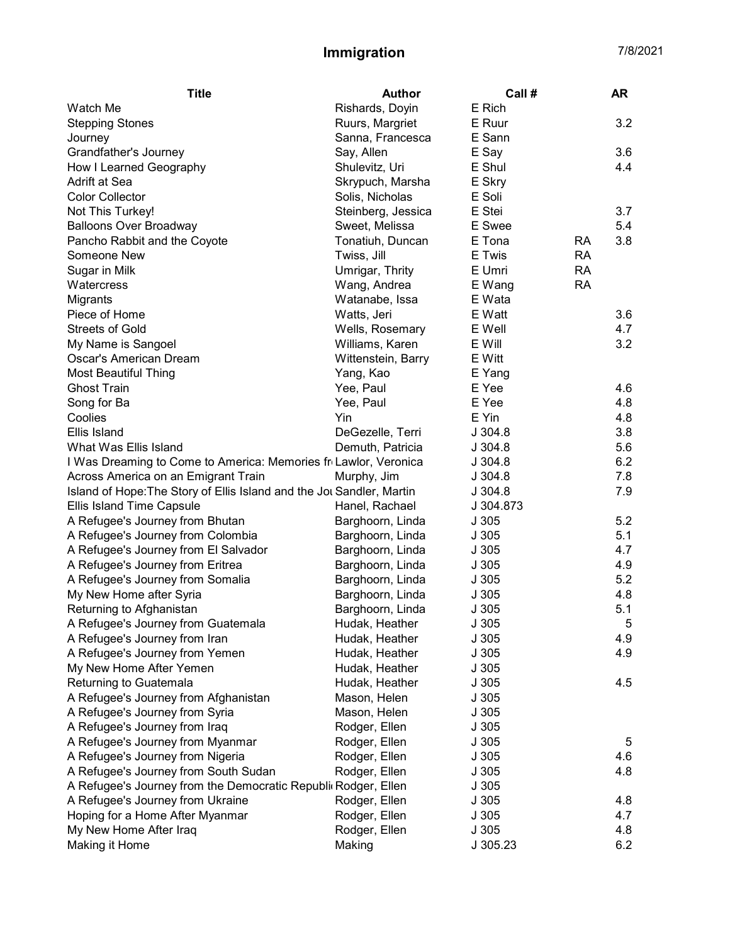| <b>Title</b>                                                          | <b>Author</b>      | Call#     |           | AR  |
|-----------------------------------------------------------------------|--------------------|-----------|-----------|-----|
| Watch Me                                                              | Rishards, Doyin    | E Rich    |           |     |
| <b>Stepping Stones</b>                                                | Ruurs, Margriet    | E Ruur    |           | 3.2 |
| Journey                                                               | Sanna, Francesca   | E Sann    |           |     |
| Grandfather's Journey                                                 | Say, Allen         | E Say     |           | 3.6 |
| How I Learned Geography                                               | Shulevitz, Uri     | E Shul    |           | 4.4 |
| Adrift at Sea                                                         | Skrypuch, Marsha   | E Skry    |           |     |
| <b>Color Collector</b>                                                | Solis, Nicholas    | E Soli    |           |     |
| Not This Turkey!                                                      | Steinberg, Jessica | E Stei    |           | 3.7 |
| <b>Balloons Over Broadway</b>                                         | Sweet, Melissa     | E Swee    |           | 5.4 |
| Pancho Rabbit and the Coyote                                          | Tonatiuh, Duncan   | E Tona    | RA        | 3.8 |
| Someone New                                                           | Twiss, Jill        | E Twis    | <b>RA</b> |     |
| Sugar in Milk                                                         | Umrigar, Thrity    | E Umri    | <b>RA</b> |     |
| Watercress                                                            | Wang, Andrea       | E Wang    | <b>RA</b> |     |
| Migrants                                                              | Watanabe, Issa     | E Wata    |           |     |
| Piece of Home                                                         | Watts, Jeri        | E Watt    |           | 3.6 |
| <b>Streets of Gold</b>                                                | Wells, Rosemary    | E Well    |           | 4.7 |
| My Name is Sangoel                                                    | Williams, Karen    | E Will    |           | 3.2 |
| Oscar's American Dream                                                | Wittenstein, Barry | E Witt    |           |     |
| <b>Most Beautiful Thing</b>                                           | Yang, Kao          | E Yang    |           |     |
| <b>Ghost Train</b>                                                    | Yee, Paul          | E Yee     |           | 4.6 |
| Song for Ba                                                           | Yee, Paul          | E Yee     |           | 4.8 |
| Coolies                                                               | Yin                | E Yin     |           | 4.8 |
| Ellis Island                                                          | DeGezelle, Terri   | J.304.8   |           | 3.8 |
| What Was Ellis Island                                                 | Demuth, Patricia   | J.304.8   |           | 5.6 |
| I Was Dreaming to Come to America: Memories fr Lawlor, Veronica       |                    | J304.8    |           | 6.2 |
| Across America on an Emigrant Train                                   | Murphy, Jim        | J.304.8   |           | 7.8 |
| Island of Hope: The Story of Ellis Island and the Jot Sandler, Martin |                    | J304.8    |           | 7.9 |
| Ellis Island Time Capsule                                             | Hanel, Rachael     | J 304.873 |           |     |
| A Refugee's Journey from Bhutan                                       | Barghoorn, Linda   | J305      |           | 5.2 |
| A Refugee's Journey from Colombia                                     | Barghoorn, Linda   | J305      |           | 5.1 |
| A Refugee's Journey from El Salvador                                  | Barghoorn, Linda   | J305      |           | 4.7 |
| A Refugee's Journey from Eritrea                                      | Barghoorn, Linda   | J305      |           | 4.9 |
| A Refugee's Journey from Somalia                                      | Barghoorn, Linda   | J305      |           | 5.2 |
| My New Home after Syria                                               | Barghoorn, Linda   | J305      |           | 4.8 |
| Returning to Afghanistan                                              | Barghoorn, Linda   | J305      |           | 5.1 |
| A Refugee's Journey from Guatemala                                    | Hudak, Heather     | J 305     |           | 5   |
| A Refugee's Journey from Iran                                         | Hudak, Heather     | J305      |           | 4.9 |
| A Refugee's Journey from Yemen                                        | Hudak, Heather     | J305      |           | 4.9 |
| My New Home After Yemen                                               | Hudak, Heather     | J 305     |           |     |
| Returning to Guatemala                                                | Hudak, Heather     | J 305     |           | 4.5 |
| A Refugee's Journey from Afghanistan                                  | Mason, Helen       | J305      |           |     |
| A Refugee's Journey from Syria                                        | Mason, Helen       | J305      |           |     |
| A Refugee's Journey from Iraq                                         | Rodger, Ellen      | J305      |           |     |
| A Refugee's Journey from Myanmar                                      | Rodger, Ellen      | J305      |           | 5   |
| A Refugee's Journey from Nigeria                                      | Rodger, Ellen      | J305      |           | 4.6 |
| A Refugee's Journey from South Sudan                                  | Rodger, Ellen      | J305      |           | 4.8 |
| A Refugee's Journey from the Democratic Republic Rodger, Ellen        |                    | J305      |           |     |
| A Refugee's Journey from Ukraine                                      | Rodger, Ellen      | J305      |           | 4.8 |
| Hoping for a Home After Myanmar                                       | Rodger, Ellen      | J 305     |           | 4.7 |
| My New Home After Iraq                                                | Rodger, Ellen      | J 305     |           | 4.8 |
| Making it Home                                                        | Making             | J 305.23  |           | 6.2 |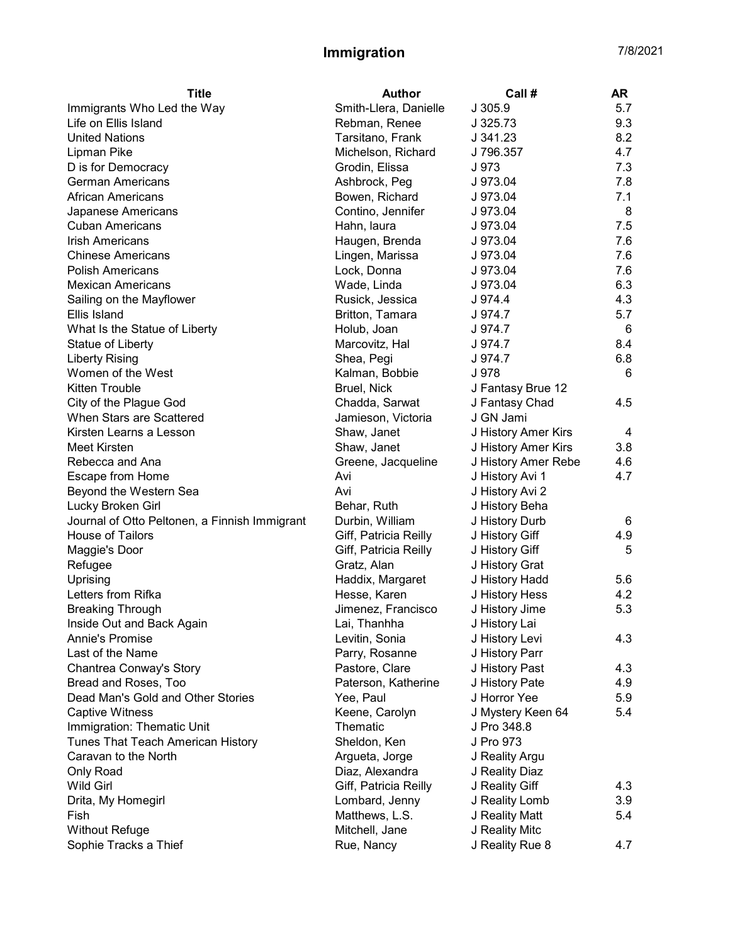| <b>Title</b>                                  | <b>Author</b>         | Call #              | AR  |
|-----------------------------------------------|-----------------------|---------------------|-----|
| Immigrants Who Led the Way                    | Smith-Llera, Danielle | J 305.9             | 5.7 |
| Life on Ellis Island                          | Rebman, Renee         | J 325.73            | 9.3 |
| <b>United Nations</b>                         | Tarsitano, Frank      | J 341.23            | 8.2 |
| Lipman Pike                                   | Michelson, Richard    | J 796.357           | 4.7 |
| D is for Democracy                            | Grodin, Elissa        | J 973               | 7.3 |
| <b>German Americans</b>                       | Ashbrock, Peg         | J 973.04            | 7.8 |
| <b>African Americans</b>                      | Bowen, Richard        | J 973.04            | 7.1 |
| Japanese Americans                            | Contino, Jennifer     | J 973.04            | 8   |
| <b>Cuban Americans</b>                        | Hahn, laura           | J 973.04            | 7.5 |
| <b>Irish Americans</b>                        | Haugen, Brenda        | J 973.04            | 7.6 |
| <b>Chinese Americans</b>                      | Lingen, Marissa       | J 973.04            | 7.6 |
| <b>Polish Americans</b>                       | Lock, Donna           | J 973.04            | 7.6 |
| <b>Mexican Americans</b>                      | Wade, Linda           | J 973.04            | 6.3 |
| Sailing on the Mayflower                      | Rusick, Jessica       | J 974.4             | 4.3 |
| Ellis Island                                  | Britton, Tamara       | J 974.7             | 5.7 |
| What Is the Statue of Liberty                 | Holub, Joan           | J 974.7             | 6   |
| Statue of Liberty                             | Marcovitz, Hal        | J 974.7             | 8.4 |
| <b>Liberty Rising</b>                         | Shea, Pegi            | J 974.7             | 6.8 |
| Women of the West                             | Kalman, Bobbie        | J 978               | 6   |
| Kitten Trouble                                | Bruel, Nick           | J Fantasy Brue 12   |     |
| City of the Plague God                        | Chadda, Sarwat        | J Fantasy Chad      | 4.5 |
| When Stars are Scattered                      | Jamieson, Victoria    | J GN Jami           |     |
| Kirsten Learns a Lesson                       | Shaw, Janet           | J History Amer Kirs | 4   |
| Meet Kirsten                                  | Shaw, Janet           | J History Amer Kirs | 3.8 |
| Rebecca and Ana                               | Greene, Jacqueline    | J History Amer Rebe | 4.6 |
| Escape from Home                              | Avi                   | J History Avi 1     | 4.7 |
| Beyond the Western Sea                        | Avi                   | J History Avi 2     |     |
| Lucky Broken Girl                             | Behar, Ruth           | J History Beha      |     |
| Journal of Otto Peltonen, a Finnish Immigrant | Durbin, William       | J History Durb      | 6   |
| House of Tailors                              | Giff, Patricia Reilly | J History Giff      | 4.9 |
| Maggie's Door                                 | Giff, Patricia Reilly | J History Giff      | 5   |
| Refugee                                       | Gratz, Alan           | J History Grat      |     |
| Uprising                                      | Haddix, Margaret      | J History Hadd      | 5.6 |
| Letters from Rifka                            | Hesse, Karen          | J History Hess      | 4.2 |
| <b>Breaking Through</b>                       | Jimenez, Francisco    | J History Jime      | 5.3 |
| Inside Out and Back Again                     | Lai, Thanhha          | J History Lai       |     |
| Annie's Promise                               | Levitin, Sonia        | J History Levi      | 4.3 |
| Last of the Name                              | Parry, Rosanne        | J History Parr      |     |
| Chantrea Conway's Story                       | Pastore, Clare        | J History Past      | 4.3 |
| Bread and Roses, Too                          | Paterson, Katherine   | J History Pate      | 4.9 |
| Dead Man's Gold and Other Stories             | Yee, Paul             | J Horror Yee        | 5.9 |
| <b>Captive Witness</b>                        | Keene, Carolyn        | J Mystery Keen 64   | 5.4 |
| Immigration: Thematic Unit                    | Thematic              | J Pro 348.8         |     |
| Tunes That Teach American History             | Sheldon, Ken          | J Pro 973           |     |
| Caravan to the North                          | Argueta, Jorge        | J Reality Argu      |     |
| Only Road                                     | Diaz, Alexandra       | J Reality Diaz      |     |
| <b>Wild Girl</b>                              | Giff, Patricia Reilly | J Reality Giff      | 4.3 |
| Drita, My Homegirl                            | Lombard, Jenny        | J Reality Lomb      | 3.9 |
| Fish                                          | Matthews, L.S.        | J Reality Matt      | 5.4 |
| <b>Without Refuge</b>                         | Mitchell, Jane        | J Reality Mitc      |     |
| Sophie Tracks a Thief                         | Rue, Nancy            | J Reality Rue 8     | 4.7 |
|                                               |                       |                     |     |